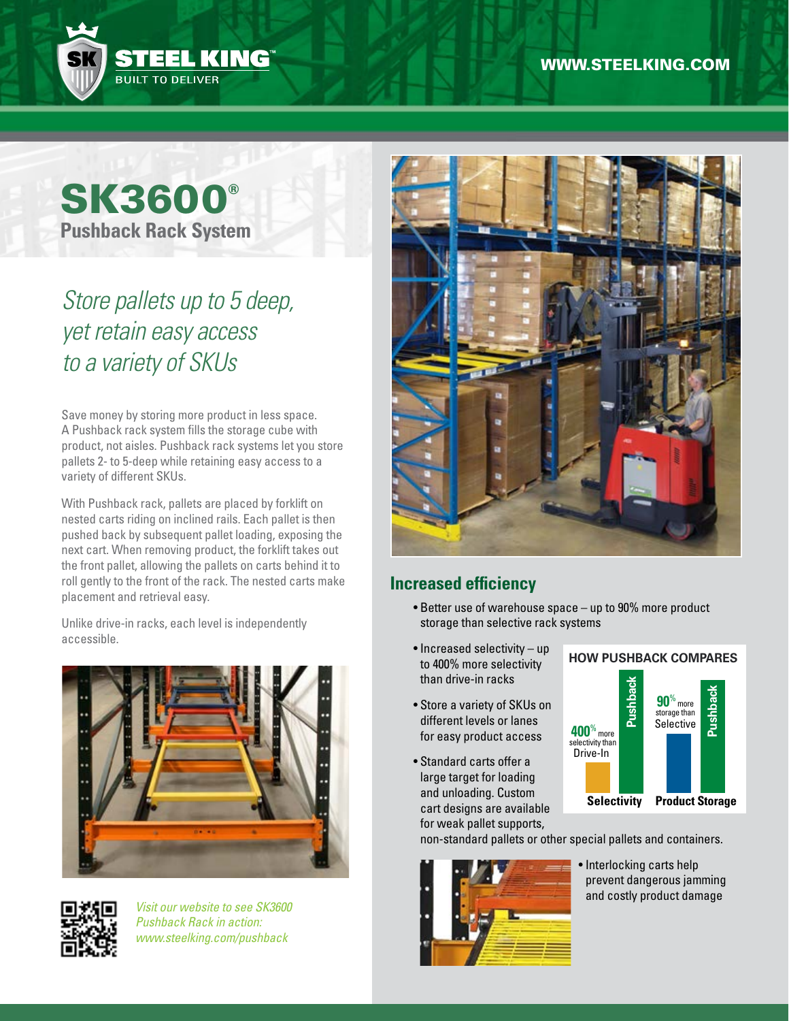

# **SK3600® Pushback Rack System**

# *Store pallets up to 5 deep, yet retain easy access to a variety of SKUs*

Save money by storing more product in less space. A Pushback rack system fills the storage cube with product, not aisles. Pushback rack systems let you store pallets 2- to 5-deep while retaining easy access to a variety of different SKUs.

With Pushback rack, pallets are placed by forklift on nested carts riding on inclined rails. Each pallet is then pushed back by subsequent pallet loading, exposing the next cart. When removing product, the forklift takes out the front pallet, allowing the pallets on carts behind it to roll gently to the front of the rack. The nested carts make placement and retrieval easy.

Unlike drive-in racks, each level is independently accessible.





*Visit our website to see SK3600 Pushback Rack in action: www.steelking.com/pushback*



### **Increased efficiency**

- Better use of warehouse space up to 90% more product storage than selective rack systems
- Increased selectivity up to 400% more selectivity than drive-in racks
- Store a variety of SKUs on different levels or lanes for easy product access
- Standard carts offer a large target for loading and unloading. Custom cart designs are available for weak pallet supports,



non-standard pallets or other special pallets and containers.



• Interlocking carts help prevent dangerous jamming and costly product damage